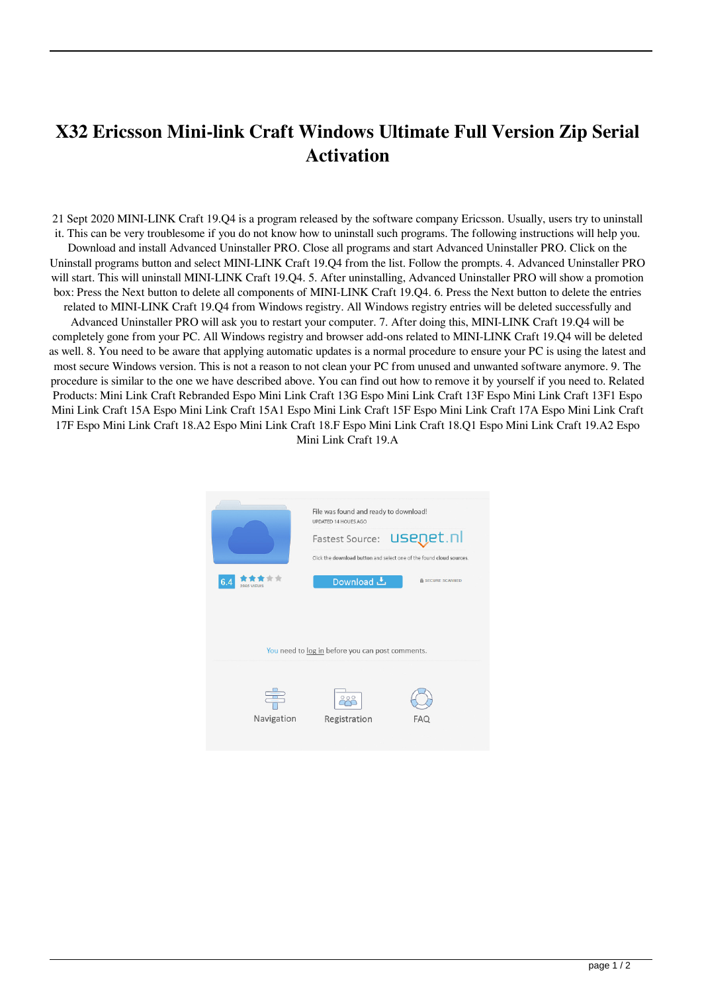## **X32 Ericsson Mini-link Craft Windows Ultimate Full Version Zip Serial Activation**

21 Sept 2020 MINI-LINK Craft 19.Q4 is a program released by the software company Ericsson. Usually, users try to uninstall it. This can be very troublesome if you do not know how to uninstall such programs. The following instructions will help you. Download and install Advanced Uninstaller PRO. Close all programs and start Advanced Uninstaller PRO. Click on the Uninstall programs button and select MINI-LINK Craft 19.Q4 from the list. Follow the prompts. 4. Advanced Uninstaller PRO will start. This will uninstall MINI-LINK Craft 19.Q4. 5. After uninstalling, Advanced Uninstaller PRO will show a promotion box: Press the Next button to delete all components of MINI-LINK Craft 19.Q4. 6. Press the Next button to delete the entries related to MINI-LINK Craft 19.Q4 from Windows registry. All Windows registry entries will be deleted successfully and Advanced Uninstaller PRO will ask you to restart your computer. 7. After doing this, MINI-LINK Craft 19.Q4 will be completely gone from your PC. All Windows registry and browser add-ons related to MINI-LINK Craft 19.Q4 will be deleted as well. 8. You need to be aware that applying automatic updates is a normal procedure to ensure your PC is using the latest and most secure Windows version. This is not a reason to not clean your PC from unused and unwanted software anymore. 9. The procedure is similar to the one we have described above. You can find out how to remove it by yourself if you need to. Related Products: Mini Link Craft Rebranded Espo Mini Link Craft 13G Espo Mini Link Craft 13F Espo Mini Link Craft 13F1 Espo Mini Link Craft 15A Espo Mini Link Craft 15A1 Espo Mini Link Craft 15F Espo Mini Link Craft 17A Espo Mini Link Craft 17F Espo Mini Link Craft 18.A2 Espo Mini Link Craft 18.F Espo Mini Link Craft 18.Q1 Espo Mini Link Craft 19.A2 Espo Mini Link Craft 19.A